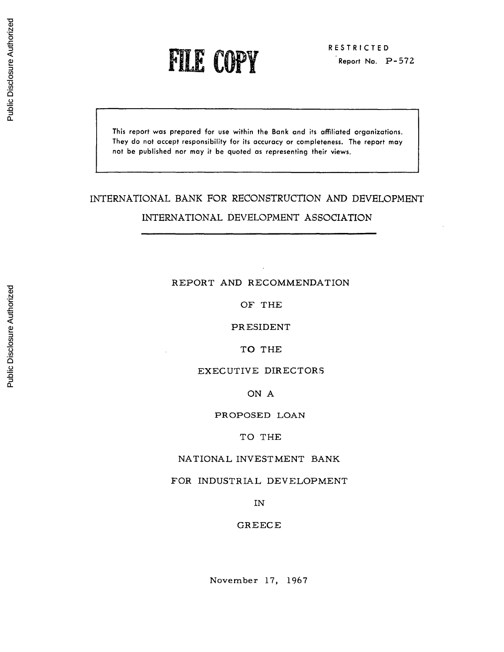**FILE COPY Report No. P-572** 

This **report was prepared for use within the Bank and** its affiliated **organizations. They do not accept responsibility for its accuracy or completeness. The report may** not **be published nor may** it **be quoted as representing their views.**

# INTERNATIONAL BANK FOR RECONSTRUCTION AND DEVELOPMENT

# INTERNATIONAL DEVELOPMENT ASSOCIATION

# REPORT AND RECOMMENDATION

OF THE

PRESIDENT

TO THE

# EXECUTIVE DIRECTORS

ON A

### PROPOSED LOAN

### TO THE

# NATIONAL INVESTMENT BANK

# FOR INDUSTRIAL DEVELOPMENT

IN

### GREECE

# Public Disclosure Authorized Public Disclosure Authorized

November 17, 1967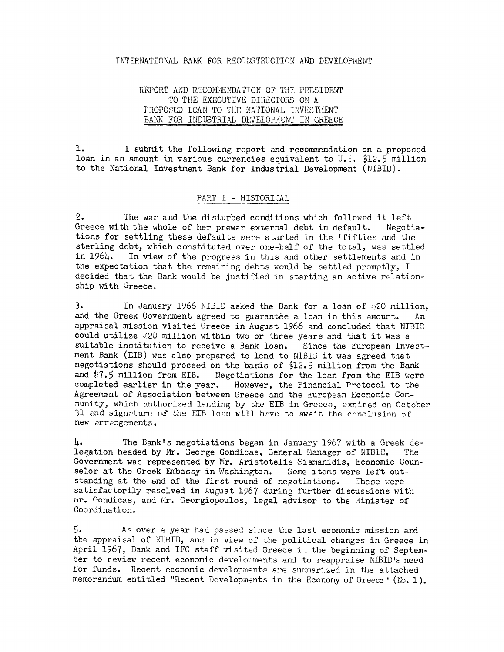### INTERNATIOINAL BANK FOR RECONSTRUCTION AND DEVELOPiENT

## REPORT AND RECOMMENDATION OF THE PRESIDENT TO THE EXECUTIVE DIRECTORS ON A PROPOSED LOAN TO THE NATIONAL INVESTMENT BANK FOR INDUSTRIAL DEVELOPMENT IN GREECE

1. I submit the following report and recommendation on a proposed loan in an amount in various currencies equivalent to U.S. \$12.5 million to the National Investment Bank for Industrial Development (NIBID).

### PART I - HISTORICAL

2. The war and the disturbed conditions which followed it left Greece with the whole of her prewar external debt in default. Negotiations for settling these defaults were started in the 'fifties and the sterling debt, which constituted over one-half of the total, was settled in 1964. In view of the progress in this and other settlements and in the expectation that the remaining debts would be settled promptly, I decided that the Bank would be justified in starting an active relationship with Greece.

3. In January 1966 NIBID asked the Bank for a loan of \$20 million, and the Greek Government agreed to guarantee a loan in this amount. An appraisal mission visited Greece in August 1966 and concluded that NIBID could utilize 20 million within two or three years and that it was a suitable institution to receive a Bank loan. Since the European Investment Bank (EIB) was also prepared to lend to NIBID it was agreed that negotiations should proceed on the basis of \$12.5 million from the Bank and  $7.5$  million from EIB. Negotiations for the loan from the EIB were completed earlier in the year. However, the Financial Protocol to the Agreement of Association between Greece and the European Economic Community, which authorized lending by the EIB in Greece, expired on October 31 and signature of the EIB loan will have to await the conclusion of new arrangements.

4. The Bankts negotiations began in January 1967 with a Greek delegation headed by Mr. George Gondicas, General Manager of NIBID. The Government was represented by Mr. Aristotelis Sismanidis, Economic Counselor at the Greek Embassy in Washington. Some items were left outstanding at the end of the first round of negotiations. These were satisfactorily resolved in August 1967 during further discussions with Inr. Gondicas, and Mr. Georgiopoulos, legal advisor to the Hinister of Coordination.

5. As over a year had passed since the last economic mission and the appraisal of NIBID, and in view of the political changes in Greece in April 1967, Bank and IFC staff visited Greece in the beginning of September to review recent economic developments and to reappraise NIBID's need for funds. Recent economic developments are summarized in the attached memorandum entitled "Recent Developments in the Economy of Greece" (No. 1).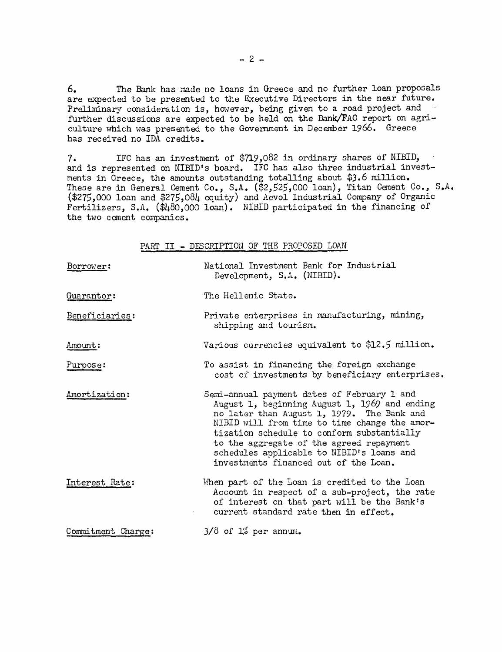6. The Bank has made no loans in Greece and no further loan proposals are expected to be presented to the Executive Directors in the near future. Preliminary consideration is, however, being given to a road project and further discussions are expected to be held on the Bank/FAO report on agriculture which was presented to the Government in December 1966. Greece has received no IDA credits.

7. IFC has an investment of \$719,082 in ordinary shares of NIBID, and is represented on NIBID's board. IFC has also three industrial investments in Greece, the amounts outstanding totalling about \$3.6 million. These are in General Cement Co., S.A. (\$2,525,000 loan), Titan Cement Co., S.A. (\$275,000 loan and \$275,084 equity) and Aevol Industrial Company of Organic Fertilizers, S.A. (\$480,000 loan). NIBID participated in the financing of the two cement companies.

PART II - DESCRIPTION OF THE PROPOSED LOAN

| Borrower:          | National Investment Bank for Industrial<br>Development, S.A. (NIBID).                                                                                                                                                                                                                                                                                                       |
|--------------------|-----------------------------------------------------------------------------------------------------------------------------------------------------------------------------------------------------------------------------------------------------------------------------------------------------------------------------------------------------------------------------|
| Guarantor:         | The Hellenic State.                                                                                                                                                                                                                                                                                                                                                         |
| Beneficiaries:     | Private enterprises in manufacturing, mining,<br>shipping and tourism.                                                                                                                                                                                                                                                                                                      |
| Amount:            | Various currencies equivalent to \$12.5 million.                                                                                                                                                                                                                                                                                                                            |
| Purpose:           | To assist in financing the foreign exchange<br>cost of investments by beneficiary enterprises.                                                                                                                                                                                                                                                                              |
| Amortization:      | Semi-annual payment dates of February 1 and<br>August 1, beginning August 1, 1969 and ending<br>no later than August 1, 1979. The Bank and<br>NIBID will from time to time change the amor-<br>tization schedule to conform substantially<br>to the aggregate of the agreed repayment<br>schedules applicable to NIBID's loans and<br>investments financed out of the Loan. |
| Interest Rate:     | When part of the Loan is credited to the Loan<br>Account in respect of a sub-project, the rate<br>of interest on that part will be the Bank's<br>current standard rate then in effect.                                                                                                                                                                                      |
| Commitment Charge: | $3/8$ of $1\%$ per annum.                                                                                                                                                                                                                                                                                                                                                   |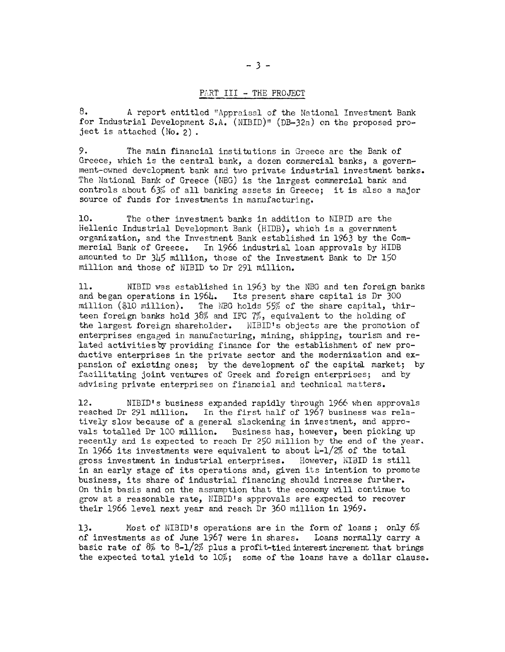### PART III - THE PROJECT

8. A report entitled "Appraisal of the National Investment Bank for Industrial Development S.A. (NIBID)" (DB-32a) on the proposed project is attached (No. 2) -

9. The main financial institutions in Greece are the Bank of Greece, which is the central bank, a dozen commercial banks, a government-owned development bank and two private industrial investment banks. The National Bank of Greece (NBG) is the largest commercial bank and controls about 63% of all banking assets in Greece; it is also a major source of funds for investments in manufacturing.

10. The other investment banks in addition to NIBID are the Hellenic Industrial Development Bank (HIDB), which is a government organization, and the Investment Bank established in 1963 by the Commercial Bank of Greece. In 1966 industrial loan approvals by HIDB amounted to Dr 345 million, those of the Investment Bank to Dr 150 million and those of NIBID to Dr 291 million.

11. NIBID was established in 1963 by the NBG and ten foreign banks and began operations in 1964. Its present share capital is Dr 300 and began operations in 1964. Its present share capital is Dr 300 million (\$10 million). The NBG holds 55% of the share capital, thirteen foreign banks hold 38% and IFC 7%, equivalent to the holding of the largest foreign shareholder. NIBID's objects are the promotion of enterprises engaged in manufacturing, mining, shipping, tourism and related activitiesby providing finance for the establishment of new productive enterprises in the private sector and the modernization and expansion of existing ones; by the development of the capital market; by facilitating joint ventures of Greek and foreign enterprises; and by advising private enterprises on financial and technical matters.

12. NIBID's business expanded rapidly through 1966 when approvals reached Dr 291 million. In the first half of 1967 business was relatively slow because of a general slackening in investment, and approvals totalled Dr 100 million. Business has, however, been picking up recently and is expected to reach Dr 250 million by the end of the year. In 1966 its investments were equivalent to about  $\frac{1}{4} - \frac{1}{2\%}$  of the total gross investment in industrial enterprises. However, KIBID is still in an early stage of its operations and, given its intention to promote business, its share of industrial financing should increase further. On this basis and on the assumption that the economy will continue to grow at a reasonable rate, NIBID's approvals are expected to recover their 1966 level next year and reach Dr 360 million in 1969.

13. Most of NIBID's operations are in the form of loans; only 6% of investments as of June 1967 were in shares. Loans normally carry a basic rate of  $8\%$  to  $8-1/2\%$  plus a profit-tied interest increment that brings the expected total yield to 10%; some of the loans have a dollar clause.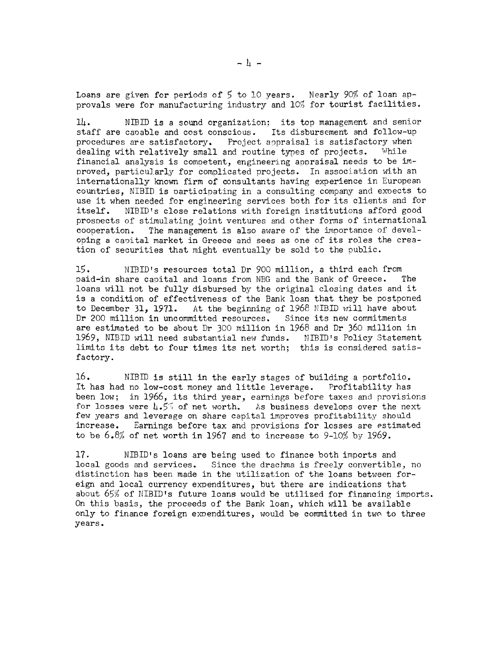Loans are given for periods of 5 to 10 years. Nearly 90% of loan approvals were for manufacturing industry and 10% for tourist facilities.

14. NTBID is a sound organization; its top management and senior staff are caoable and cost conscious. Its disbursement and follow-up procedures are satisfactory. Project appraisal is satisfactory when dealing with relatively small and routine types of projects. While financial analysis is competent, engineering appraisal needs to be  $im-$ Proved, particularly for complicated projects. In association with an internationally known firm of consultants having experience in European countries, NIBID is oarticipating in a consulting company and exoects to use it when needed for engineering services both for its clients and for itself. NIBID's close relations with foreign institutions afford good prosnects of stimulating joint ventures and other forms of international cooperation. The management is also aware of the importance of developing a canital market in Greece and sees as one of its roles the creation of securities that might eventually be sold to the public.

15. NIBID's resources total Dr 900 million, a third each from Paid-in share capital and loans from NBG and the Bank of Greece. The loans will not be fully disbursed by the original closing dates and it is a condition of effectiveness of the Bank loan that they be postponed to December 31, 1971. At the beginning of 1968 NIBID will have about Dr 200 million in uncommitted resources. Since its new commitments are estimated to be about Dr 300 million in 1968 and Dr 360 million in 1969, NIBID will need substantial new funds. NIBID's Policy Statement limits its debt to four times its net worth; this is considered satisfactory.

16. NIBID is still in the early stages of building a portfolio. It has had no low-cost money and little leverage. Profitability has been low; in 1966, its third year, earnings before taxes and provisions for losses were 4.55 of net worth. As business develops over the next few years and leverage on share capital improves profitability should increase. Earnings before tax and provisions for losses are estimated to be 6.8% of net worth in 1967 and to increase to 9-10% by 1969.

17. NIBID's loans are being used to finance both imports and local goods and services. Since the drachma is freely convertible, no distinction has been made in the utilization of the loans between foreign and local currency expenditures, but there are indications that about 65% of NIBID's future loans would be utilized for financing imports. On this basis, the proceeds of the Bank loan, which will be available only to finance foreign exoenditures, would be committed in two to three years.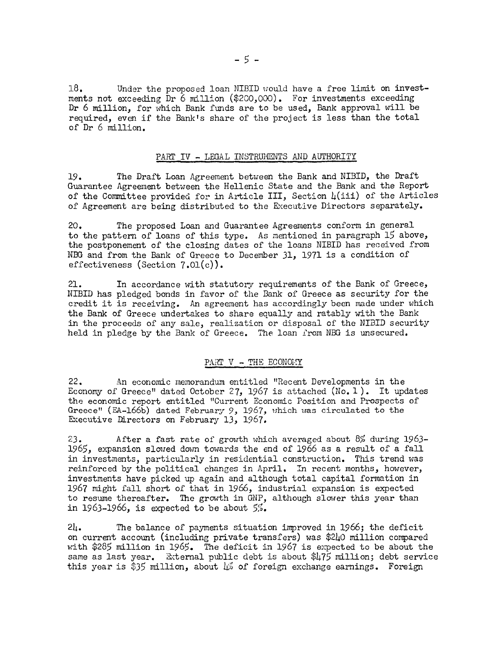18. Under the proposed loan NIBID would have a free limit on investments not exceeding Dr 6 million (\$200,000). For investments exceeding Dr 6 million, for which Bank funds are to be used, Bank approval will be required, even if the Bank's share of the project is less than the total of Dr 6 million.

### PART IV - LEGAL INSTRUMENTS AND AUTHORITY

19. The Draft Loan Agreement between the Bank and NIBID, the Draft Guarantee Agreement between the Hellenic State and the Bank and the Report of the Committee provided for in Article III, Section  $\mu(iii)$  of the Articles of Agreement are being distributed to the Executive Directors separately.

20. The proposed Loan and Guarantee Agreements conform in general to the pattern of loans of this type. As mentioned in paragraph 15 above, the postponement of the closing dates of the loans NIBID has received from NBG and from the Bank of Greece to December 31, 1971 is a condition of effectiveness (Section  $7.01(c)$ ).

21. In accordance with statutory requirements of the Bank of Greece, NIBID has pledged bonds in favor of the Bank of Greece as security for the credit it is receiving. An agreement has accordingly been made under which the Bank of Greece undertakes to share equally and ratably with the Bank in the proceeds of any sale, realization or disposal of the NIBID security held in pledge by the Bank of Greece. The loan from NBG is unsecured.

### PART  $V$  - THE ECONOMY

22. An economic memorandum entitled "Recent Developments in the Economy of Greece" dated October 27, 1967 is attached  $(N_0, 1)$ . It updates the economic report entitled "Current Economic Position and Prospects of Greece" (EA-166b) dated February 9, 1967, which was circulated to the Executive Directors on February 13, 1967.

23. After a fast rate of growth which averaged about 8% during 1963- 1965, expansion slowred down towards the end of 1966 as a result of a fall in investments, particularly in residential construction. This trend was reinforced by the political changes in April. In recent months, however, investments have picked up again and although total capital formation in 1967 might fall short of that in 1966, industrial expansion is expected to resume thereafter. The growth in GNP, although slower this year than in 1963-1966, is expected to be about  $5\%$ .

24. The balance of payments situation improved in 1966; the deficit on current account (including private transfers) was \$240 million compared with \$285 million in 1965. The deficit in 1967 is expected to be about the same as last year. External public debt is about \$475 million; debt service this year is \$35 million, about  $\downarrow$  of foreign exchange earnings. Foreign